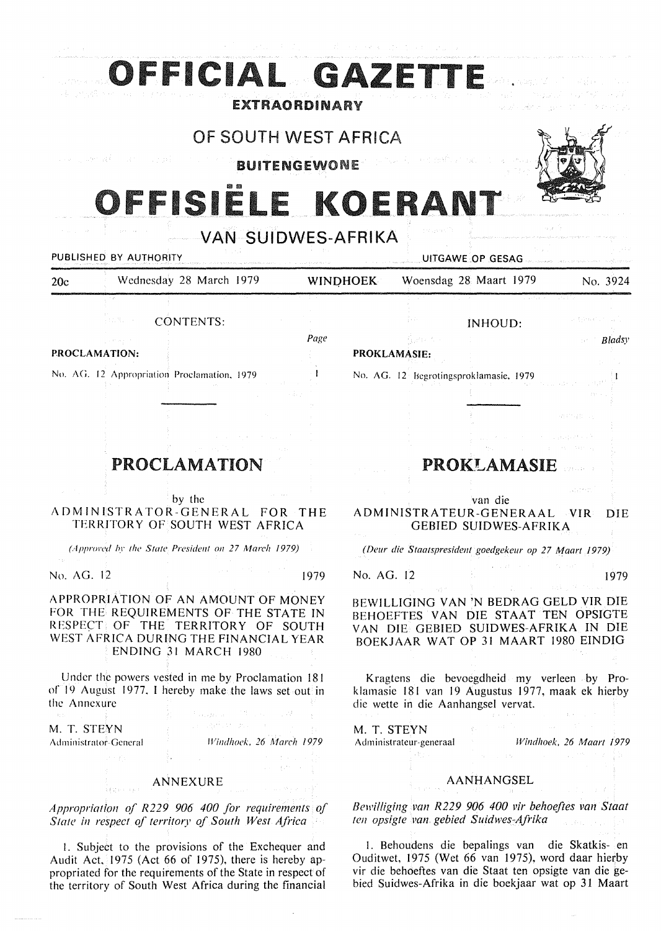|                                                                                                                                                                                                                             | OFFICIAL GAZETTE                                                                                                                                                                                                                                                                                                                                                       |                      |            |              |                                                                                                                                                                                                                                                                                                                                                                                                                                                                                                                                                                                                                                                                                                                            |               |
|-----------------------------------------------------------------------------------------------------------------------------------------------------------------------------------------------------------------------------|------------------------------------------------------------------------------------------------------------------------------------------------------------------------------------------------------------------------------------------------------------------------------------------------------------------------------------------------------------------------|----------------------|------------|--------------|----------------------------------------------------------------------------------------------------------------------------------------------------------------------------------------------------------------------------------------------------------------------------------------------------------------------------------------------------------------------------------------------------------------------------------------------------------------------------------------------------------------------------------------------------------------------------------------------------------------------------------------------------------------------------------------------------------------------------|---------------|
|                                                                                                                                                                                                                             |                                                                                                                                                                                                                                                                                                                                                                        | <b>EXTRAORDINARY</b> |            |              |                                                                                                                                                                                                                                                                                                                                                                                                                                                                                                                                                                                                                                                                                                                            |               |
|                                                                                                                                                                                                                             |                                                                                                                                                                                                                                                                                                                                                                        | OF SOUTH WEST AFRICA |            |              |                                                                                                                                                                                                                                                                                                                                                                                                                                                                                                                                                                                                                                                                                                                            |               |
|                                                                                                                                                                                                                             | - 24 The County 24 Fig.                                                                                                                                                                                                                                                                                                                                                | <b>BUITENGEWONE</b>  |            |              |                                                                                                                                                                                                                                                                                                                                                                                                                                                                                                                                                                                                                                                                                                                            |               |
|                                                                                                                                                                                                                             | OFFISIELE KOERANT                                                                                                                                                                                                                                                                                                                                                      |                      |            |              |                                                                                                                                                                                                                                                                                                                                                                                                                                                                                                                                                                                                                                                                                                                            |               |
|                                                                                                                                                                                                                             |                                                                                                                                                                                                                                                                                                                                                                        |                      |            |              |                                                                                                                                                                                                                                                                                                                                                                                                                                                                                                                                                                                                                                                                                                                            |               |
|                                                                                                                                                                                                                             | PUBLISHED BY AUTHORITY                                                                                                                                                                                                                                                                                                                                                 | VAN SUIDWES-AFRIKA   |            |              | UITGAWE OP GESAG                                                                                                                                                                                                                                                                                                                                                                                                                                                                                                                                                                                                                                                                                                           |               |
| 20c                                                                                                                                                                                                                         | Wednesday 28 March 1979                                                                                                                                                                                                                                                                                                                                                |                      | WINDHOEK   |              | Woensdag 28 Maart 1979                                                                                                                                                                                                                                                                                                                                                                                                                                                                                                                                                                                                                                                                                                     | No. 3924      |
|                                                                                                                                                                                                                             |                                                                                                                                                                                                                                                                                                                                                                        |                      |            |              |                                                                                                                                                                                                                                                                                                                                                                                                                                                                                                                                                                                                                                                                                                                            |               |
|                                                                                                                                                                                                                             | <b>CONTENTS:</b>                                                                                                                                                                                                                                                                                                                                                       | Page                 |            |              | <b>INHOUD:</b>                                                                                                                                                                                                                                                                                                                                                                                                                                                                                                                                                                                                                                                                                                             |               |
|                                                                                                                                                                                                                             | PROCLAMATION:                                                                                                                                                                                                                                                                                                                                                          |                      |            | PROKLAMASIE: |                                                                                                                                                                                                                                                                                                                                                                                                                                                                                                                                                                                                                                                                                                                            | Bladsy        |
|                                                                                                                                                                                                                             | No. AG. 12 Appropriation Proclamation, 1979                                                                                                                                                                                                                                                                                                                            |                      |            |              | No. AG. 12 Begrotingsproklamasie, 1979                                                                                                                                                                                                                                                                                                                                                                                                                                                                                                                                                                                                                                                                                     |               |
|                                                                                                                                                                                                                             |                                                                                                                                                                                                                                                                                                                                                                        |                      |            |              |                                                                                                                                                                                                                                                                                                                                                                                                                                                                                                                                                                                                                                                                                                                            |               |
|                                                                                                                                                                                                                             |                                                                                                                                                                                                                                                                                                                                                                        |                      |            |              |                                                                                                                                                                                                                                                                                                                                                                                                                                                                                                                                                                                                                                                                                                                            | statistica ar |
|                                                                                                                                                                                                                             |                                                                                                                                                                                                                                                                                                                                                                        |                      |            |              |                                                                                                                                                                                                                                                                                                                                                                                                                                                                                                                                                                                                                                                                                                                            |               |
|                                                                                                                                                                                                                             | <b>PROCLAMATION</b>                                                                                                                                                                                                                                                                                                                                                    |                      |            |              | <b>PROKLAMASIE</b>                                                                                                                                                                                                                                                                                                                                                                                                                                                                                                                                                                                                                                                                                                         |               |
|                                                                                                                                                                                                                             |                                                                                                                                                                                                                                                                                                                                                                        |                      |            |              |                                                                                                                                                                                                                                                                                                                                                                                                                                                                                                                                                                                                                                                                                                                            | Japanese      |
|                                                                                                                                                                                                                             | by the<br>ADMINISTRATOR-GENERAL FOR THE<br>TERRITORY OF SOUTH WEST AFRICA                                                                                                                                                                                                                                                                                              |                      |            |              | van die<br>ADMINISTRATEUR-GENERAAL<br><b>GEBIED SUIDWES-AFRIKA</b>                                                                                                                                                                                                                                                                                                                                                                                                                                                                                                                                                                                                                                                         | $-VIR$<br>DIE |
|                                                                                                                                                                                                                             | (Approved by the State President on 27 March 1979)                                                                                                                                                                                                                                                                                                                     |                      |            |              | (Deur die Staatspresident goedgekeur op 27 Maart 1979)                                                                                                                                                                                                                                                                                                                                                                                                                                                                                                                                                                                                                                                                     |               |
| No. AG. 12                                                                                                                                                                                                                  |                                                                                                                                                                                                                                                                                                                                                                        | 1979                 | No. AG. 12 |              |                                                                                                                                                                                                                                                                                                                                                                                                                                                                                                                                                                                                                                                                                                                            | 1979          |
|                                                                                                                                                                                                                             | APPROPRIATION OF AN AMOUNT OF MONEY<br>FOR THE REQUIREMENTS OF THE STATE IN<br>RESPECT OF THE TERRITORY OF SOUTH<br>WEST AFRICA DURING THE FINANCIAL YEAR<br>ENDING 31 MARCH 1980                                                                                                                                                                                      | ing<br>San Bar       |            |              | BEWILLIGING VAN 'N BEDRAG GELD VIR DIE<br>BEHOEFTES VAN DIE STAAT TEN OPSIGTE<br>VAN DIE GEBIED SUIDWES-AFRIKA IN DIE<br>BOEKJAAR WAT OP 31 MAART 1980 EINDIG                                                                                                                                                                                                                                                                                                                                                                                                                                                                                                                                                              |               |
| the Annexure<br>$\label{eq:Ric} \mathcal{R}(\Omega) = \mathbb{E}_{\Omega} \left[ \mathbb{E}_{\Omega} \left[ \mathbb{E}_{\Omega} \right] \right] \mathbb{E}_{\Omega} \left[ \mathbb{E}_{\Omega} \right] \mathbb{E}_{\Omega}$ | Under the powers vested in me by Proclamation 181<br>of 19 August 1977, I hereby make the laws set out in<br>$\label{eq:3} \mathbb{E}\left[\mathbb{E}_{\text{trivial}}\left[\mu_{\text{max}}\right]\right] \leq \mathbb{E}\left[\mathbb{E}_{\mu_{\text{max}}}\left[\mu_{\text{max}}\right]\right] \leq \sqrt{d} \mathbb{E}\left[\mathbb{E}_{\mu_{\text{max}}}\right].$ |                      |            |              | Kragtens die bevoegdheid my verleen by Pro-<br>klamasie 181 van 19 Augustus 1977, maak ek hierby<br>die wette in die Aanhangsel vervat.                                                                                                                                                                                                                                                                                                                                                                                                                                                                                                                                                                                    |               |
| M. T. STEYN                                                                                                                                                                                                                 | $\label{eq:1} \mathcal{L}_{\mathcal{A}}(x) = \partial_{\mathcal{A}}^2 V^{\frac{1}{2}} \mathcal{L}_{\mathcal{A}} V^{\frac{1}{2}} \mathcal{L}_{\mathcal{A}}(x) = \mathcal{L}_{\mathcal{A}}(x) = \mathcal{L}_{\mathcal{A}}(x) = \mathcal{L}_{\mathcal{A}}(x) = \frac{1}{2\pi i}$<br>Windhoek, 26 March 1979<br>Administrator-General<br>せんしょう 幸 アンバー・コード せいきょ             |                      |            |              | M. T. STEYN Experience of the state of the state of the state of the state of the state of the state of the state of the state of the state of the state of the state of the state of the state of the state of the state of t<br>Administrateur-generaal Windhoek, 26 Maart 1979<br>$\left\{ \left\{ \Phi_{\alpha}^{(k)} \right\}_{k=1}^{\infty} \right\}_{k=1}^{\infty} \left\{ \left\{ \left\{ \left\{ \Phi_{\alpha}^{(k)} \right\}_{k=1}^{\infty} \right\}_{k=1}^{\infty} \right\}_{k=1}^{\infty} \left\{ \left\{ \left\{ \left\{ \Phi_{\alpha}^{(k)} \right\}_{k=1}^{\infty} \right\}_{k=1}^{\infty} \right\}_{k=1}^{\infty} \right\}_{k=1}^{\infty} \left\{ \left\{ \left\{ \Phi_{\alpha}^{(k)} \right\}_{k=1}^{\in$ |               |
|                                                                                                                                                                                                                             | ANNEXURE                                                                                                                                                                                                                                                                                                                                                               |                      |            |              | AANHANGSEL<br>i ddhisio m≩ suo se i contro di Z                                                                                                                                                                                                                                                                                                                                                                                                                                                                                                                                                                                                                                                                            |               |
|                                                                                                                                                                                                                             | Appropriation of R229 906 400 for requirements of<br>State in respect of territory of South West Africa                                                                                                                                                                                                                                                                |                      |            |              | Bewilliging van R229 906 400 vir behoeftes van Staat<br>ten opsigte van gebied Suidwes-Afrika                                                                                                                                                                                                                                                                                                                                                                                                                                                                                                                                                                                                                              |               |
|                                                                                                                                                                                                                             | 1. Subject to the provisions of the Exchequer and<br>Audit Act, 1975 (Act 66 of 1975), there is hereby ap-<br>propriated for the requirements of the State in respect of<br>the territory of South West Africa during the financial                                                                                                                                    |                      |            |              | 1. Behoudens die bepalings van die Skatkis- en<br>Ouditwet, 1975 (Wet 66 van 1975), word daar hierby<br>vir die behoeftes van die Staat ten opsigte van die ge-<br>bied Suidwes-Afrika in die boekjaar wat op 31 Maart                                                                                                                                                                                                                                                                                                                                                                                                                                                                                                     |               |

 $\frac{1}{2}$ 

 $\frac{1}{\sqrt{2}}$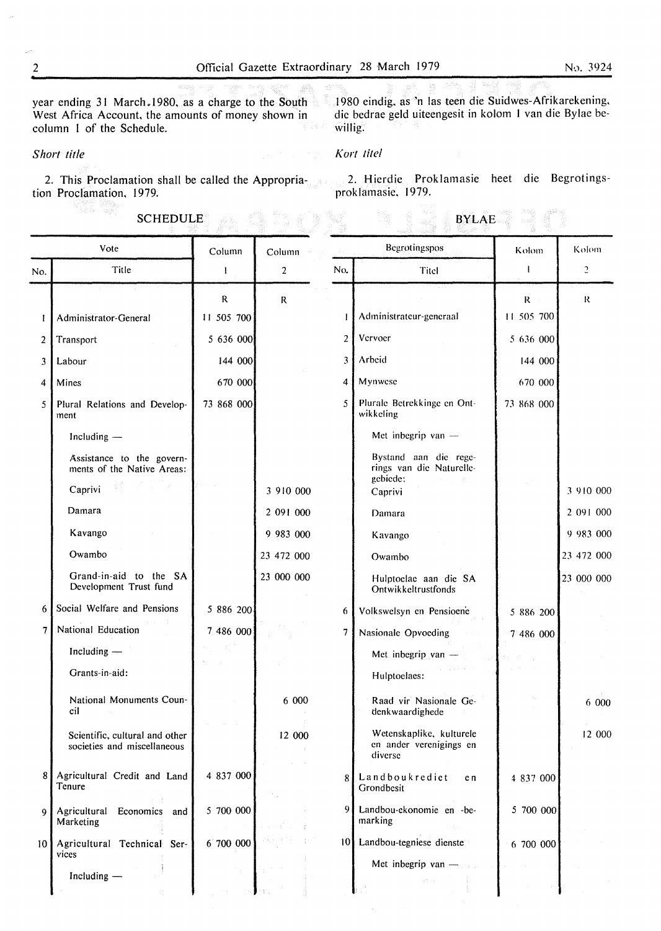year ending 31 March .1980, as a charge to the South 1980 eindig. as 'n las teen die Suidwes-Afrikarekening, West Africa Account, the amounts of money shown in<br>column 1 of the Schedule. column I of the Schedule.

die bedrae geld uiteengesit in kolom I van die Bylae bewillig.

*Short title* 

÷,

inggo menya<br>22 Marejeo

## *Kort lite/*

ra gung

2. This Proclamation shall be called the Appropriation Proclamation, 1979.

2. Hierdie Proklamasie heet die Begrotingsproklamasie, 1979.

BYLAE

| <b>SCHEDULE</b> |  |  |  |
|-----------------|--|--|--|
|                 |  |  |  |

| Vote            |                                                                                                                            | Column                    | Column         |                | Begrotingspos                                                            | Kolom                        | Kolom      |
|-----------------|----------------------------------------------------------------------------------------------------------------------------|---------------------------|----------------|----------------|--------------------------------------------------------------------------|------------------------------|------------|
| No.             | Title                                                                                                                      | $\mathbf{1}$              | $\overline{2}$ | No.            | Titel                                                                    | Ι.                           | 2          |
| 1               | Administrator-General                                                                                                      | $\mathbf R$<br>11 505 700 | R              | $\mathbf{I}$   | Administrateur-generaal                                                  | $\mathsf{R}^-$<br>11 505 700 | R          |
| $\overline{2}$  | Transport                                                                                                                  | 5 636 000                 |                | $\overline{2}$ | Vervoer                                                                  | 5 636 000                    |            |
| 3               | Labour                                                                                                                     | 144 000                   |                | 3              | Arbeid                                                                   | 144 000                      |            |
| 4               | Mines                                                                                                                      | 670 000                   |                | 4              | Mynwese                                                                  | 670 000                      |            |
| 5               | Plural Relations and Develop-<br>ment                                                                                      | 73 868 000                |                | $\mathfrak{S}$ | Plurale Betrekkinge en Ont-<br>wikkeling                                 | 73 868 000                   |            |
|                 | Including -                                                                                                                |                           |                |                | Met inbegrip van -                                                       |                              |            |
|                 | Assistance to the govern-<br>ments of the Native Areas:<br>Caprivi $\mathbb{R}^{\mathbb{Z}}$ and $\mathbb{R}^{\mathbb{Z}}$ | presentation.             | 3 910 000      |                | Bystand aan die rege-<br>rings van die Naturelle-<br>gebiede:<br>Caprivi |                              | 3 910 000  |
|                 | Damara                                                                                                                     |                           | 2 091 000      |                | Damara                                                                   |                              | 2 091 000  |
|                 | Kavango                                                                                                                    |                           | 9 983 000      |                | Kavango                                                                  |                              | 9 983 000  |
|                 | Owambo                                                                                                                     |                           | 23 472 000     |                | Owambo                                                                   |                              | 23 472 000 |
|                 | Grand-in-aid to the SA<br>Development Trust fund                                                                           |                           | 23 000 000     |                | Hulptoelae aan die SA<br>Ontwikkeltrustfonds                             |                              | 23 000 000 |
| 6               | Social Welfare and Pensions                                                                                                | 5 886 200                 |                | 6              | Volkswelsyn en Pensioene                                                 | 5 886 200                    |            |
| 7               | National Education                                                                                                         | 7 486 000                 |                | 7              | Nasionale Opvoeding                                                      | 7 486 000                    |            |
|                 | Including -<br>Grants-in-aid:                                                                                              |                           |                |                | Met inbegrip van $-$<br>Hulptoelaes:                                     |                              |            |
|                 | National Monuments Coun-<br>cil                                                                                            |                           | 6000           |                | Raad vir Nasionale Ge-<br>denkwaardighede                                |                              | 6 000      |
|                 | Scientific, cultural and other<br>societies and miscellaneous                                                              |                           | 12 000         |                | Wetenskaplike, kulturele<br>en ander verenigings en<br>diverse           |                              | 12 000     |
|                 | 8 Agricultural Credit and Land<br>Tenure                                                                                   | 4 837 000                 |                | 8              | Landboukrediet<br>e n<br>Grondbesit                                      | 4 837 000                    |            |
| $\mathbf Q$     | Agricultural<br>Economics and<br>Marketing                                                                                 | 5 700 000                 |                | 9              | Landbou-ekonomie en -be-<br>marking                                      | 5 700 000                    |            |
| 10 <sup>1</sup> | Agricultural Technical Ser-<br>vices                                                                                       | 6 700 000                 |                |                | 10 Landbou-tegniese dienste                                              | 6 700 000                    |            |
|                 | Including -                                                                                                                |                           |                |                | Met inbegrip van $-$                                                     |                              |            |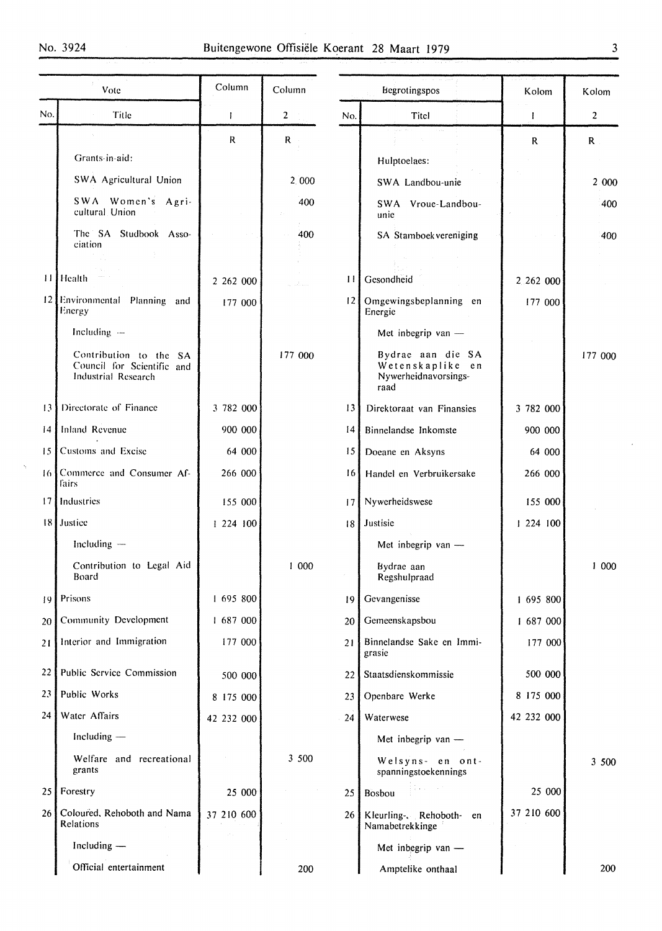$\ddot{\phantom{1}}$ 

| Vote                               |                                                                             | Column       | Column         | Begrotingspos |                                                                       | Kolom        | Kolom          |
|------------------------------------|-----------------------------------------------------------------------------|--------------|----------------|---------------|-----------------------------------------------------------------------|--------------|----------------|
| No.                                | Title                                                                       | $\mathbf{I}$ | $\overline{2}$ | Titel<br>No.  |                                                                       | $\mathbf{I}$ | $\overline{2}$ |
|                                    |                                                                             | $\mathsf R$  | R.             |               |                                                                       | $\mathbf R$  | $\mathbf{R}$   |
|                                    | Grants-in-aid:                                                              |              |                |               | Hulptoelaes:                                                          |              |                |
|                                    | SWA Agricultural Union                                                      |              | 2.000          |               | SWA Landbou-unie                                                      |              | 2 000          |
|                                    | SWA Women's Agri-<br>cultural Union                                         |              | 400            |               | SWA Vroue-Landbou-<br>unic                                            |              | 400            |
|                                    | The SA Studbook Asso-<br>ciation                                            |              | 400            |               | SA Stamboek vereniging                                                |              | 400            |
| $\mathbf{1}$                       | Health                                                                      |              |                |               |                                                                       |              |                |
|                                    |                                                                             | 2 262 000    |                | $\mathbf{1}$  | Gesondheid                                                            | 2 262 000    |                |
|                                    | 12 Environmental Planning and<br>Energy                                     | 177 000      |                | 2             | Omgewingsbeplanning en<br>Energie                                     | 177 000      |                |
|                                    | Including $-$                                                               |              |                |               | Met inbegrip van -                                                    |              |                |
|                                    | Contribution to the SA<br>Council for Scientific and<br>Industrial Research |              | 177 000        |               | Bydrae aan die SA<br>Wetenskaplike en<br>Nywerheidnavorsings-<br>raad |              | 177 000        |
| 3                                  | Directorate of Finance                                                      | 3 782 000    |                | 13            | Direktoraat van Finansies                                             | 3 782 000    |                |
| 14                                 | Inland Revenue                                                              | 900 000      |                | 14            | Binnelandse Inkomste                                                  | 900 000      |                |
| 15                                 | Customs and Excise                                                          | 64 000       |                | 15            | Doeane en Aksyns                                                      | 64 000       |                |
|                                    | 16 Commerce and Consumer Af-<br>fairs                                       | 266 000      |                | 16            | Handel en Verbruikersake                                              | 266 000      |                |
|                                    | 17 Industries                                                               | 155 000      |                | 17            | Nywerheidswese                                                        | 155 000      |                |
|                                    | 18 Justice                                                                  | 1224100      |                | 18            | Justisie                                                              | 1 224 100    |                |
|                                    | Including $-$                                                               |              |                |               | Met inbegrip van -                                                    |              |                |
| Contribution to Legal Aid<br>Board |                                                                             |              | 1000           |               | Bydrae aan<br>Regshulpraad                                            |              | 1000           |
| 9                                  | Prisons                                                                     | 1 695 800    |                | 19            | Gevangenisse                                                          | 1 695 800    |                |
| 20                                 | Community Development                                                       | 1 687 000    |                | 20            | Gemeenskapsbou                                                        | 1 687 000    |                |
| 21                                 | Interior and Immigration                                                    | 177 000      |                | 21            | Binnelandse Sake en Immi-<br>grasie                                   | 177 000      |                |
| 22                                 | Public Service Commission                                                   | 500 000      |                | 22            | Staatsdienskommissie                                                  | 500 000      |                |
| 23                                 | Public Works                                                                | 8 175 000    |                | 23            | Openbare Werke                                                        | 8 175 000    |                |
| 24                                 | Water Affairs                                                               | 42 232 000   |                | 24            | Waterwese                                                             | 42 232 000   |                |
|                                    | Including -                                                                 |              |                |               | Met inbegrip van -                                                    |              |                |
|                                    | Welfare and recreational<br>grants                                          |              | 3 500          |               | Welsyns- en ont-<br>spanningstoekennings                              |              | 3 500          |
| 25 <sub>1</sub>                    | Forestry                                                                    | 25 000       |                | 25            | Bosbou                                                                | 25 000       |                |
| 26 <sup>1</sup>                    | Coloured, Rehoboth and Nama<br>Relations                                    | 37 210 600   |                | 26            | Kleurling-, Rehoboth-<br>en<br>Namabetrekkinge                        | 37 210 600   |                |
|                                    | Including $-$                                                               |              |                |               | Met inbegrip van -                                                    |              |                |
|                                    | Official entertainment                                                      |              | 200            |               | Amptelike onthaal                                                     |              | 200            |